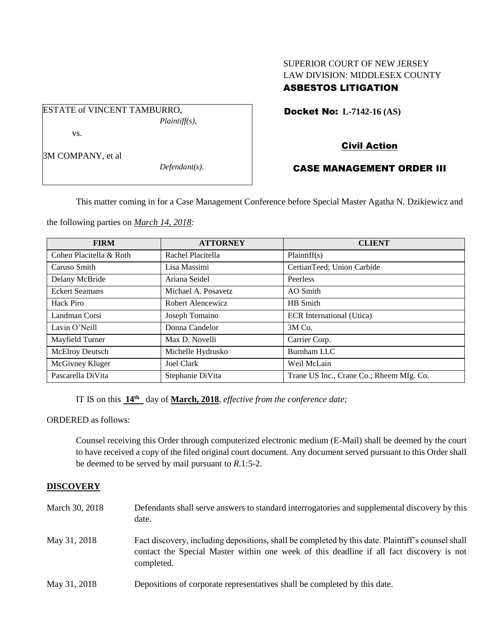# SUPERIOR COURT OF NEW JERSEY LAW DIVISION: MIDDLESEX COUNTY ASBESTOS LITIGATION

Docket No: **L-7142-16 (AS)** 

vs.

3M COMPANY, et al

*Defendant(s).*

*Plaintiff(s),*

# Civil Action

# CASE MANAGEMENT ORDER III

This matter coming in for a Case Management Conference before Special Master Agatha N. Dzikiewicz and

the following parties on *March 14, 2018:*

ESTATE of VINCENT TAMBURRO,

| <b>FIRM</b>             | <b>ATTORNEY</b>     | <b>CLIENT</b>                            |
|-------------------------|---------------------|------------------------------------------|
| Cohen Placitella & Roth | Rachel Placitella   | Plaintiff(s)                             |
| Caruso Smith            | Lisa Massimi        | CertianTeed; Union Carbide               |
| Delany McBride          | Ariana Seidel       | Peerless                                 |
| <b>Eckert Seamans</b>   | Michael A. Posavetz | AO Smith                                 |
| Hack Piro               | Robert Alencewicz   | HB Smith                                 |
| Landman Corsi           | Joseph Tomaino      | <b>ECR</b> International (Utica)         |
| Lavin O'Neill           | Donna Candelor      | 3M Co.                                   |
| Mayfield Turner         | Max D. Novelli      | Carrier Corp.                            |
| <b>McElroy Deutsch</b>  | Michelle Hydrusko   | Burnham LLC                              |
| McGivney Kluger         | Joel Clark          | Weil McLain                              |
| Pascarella DiVita       | Stephanie DiVita    | Trane US Inc., Crane Co.; Rheem Mfg. Co. |

IT IS on this **14th** day of **March, 2018**, *effective from the conference date;*

ORDERED as follows:

Counsel receiving this Order through computerized electronic medium (E-Mail) shall be deemed by the court to have received a copy of the filed original court document. Any document served pursuant to this Order shall be deemed to be served by mail pursuant to *R*.1:5-2.

## **DISCOVERY**

| March 30, 2018 | Defendants shall serve answers to standard interrogatories and supplemental discovery by this<br>date.                                                                                                      |
|----------------|-------------------------------------------------------------------------------------------------------------------------------------------------------------------------------------------------------------|
| May 31, 2018   | Fact discovery, including depositions, shall be completed by this date. Plaintiff's counsel shall<br>contact the Special Master within one week of this deadline if all fact discovery is not<br>completed. |
| May 31, 2018   | Depositions of corporate representatives shall be completed by this date.                                                                                                                                   |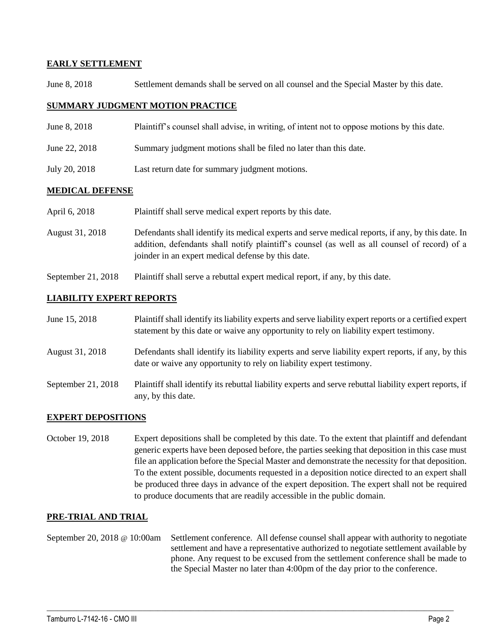## **EARLY SETTLEMENT**

June 8, 2018 Settlement demands shall be served on all counsel and the Special Master by this date.

#### **SUMMARY JUDGMENT MOTION PRACTICE**

- June 8, 2018 Plaintiff's counsel shall advise, in writing, of intent not to oppose motions by this date.
- June 22, 2018 Summary judgment motions shall be filed no later than this date.
- July 20, 2018 Last return date for summary judgment motions.

#### **MEDICAL DEFENSE**

| April 6, 2018   | Plaintiff shall serve medical expert reports by this date.                                                                                                                                                                                               |
|-----------------|----------------------------------------------------------------------------------------------------------------------------------------------------------------------------------------------------------------------------------------------------------|
| August 31, 2018 | Defendants shall identify its medical experts and serve medical reports, if any, by this date. In<br>addition, defendants shall notify plaintiff's counsel (as well as all counsel of record) of a<br>joinder in an expert medical defense by this date. |

September 21, 2018 Plaintiff shall serve a rebuttal expert medical report, if any, by this date.

#### **LIABILITY EXPERT REPORTS**

| June 15, 2018      | Plaintiff shall identify its liability experts and serve liability expert reports or a certified expert<br>statement by this date or waive any opportunity to rely on liability expert testimony. |
|--------------------|---------------------------------------------------------------------------------------------------------------------------------------------------------------------------------------------------|
| August 31, 2018    | Defendants shall identify its liability experts and serve liability expert reports, if any, by this<br>date or waive any opportunity to rely on liability expert testimony.                       |
| September 21, 2018 | Plaintiff shall identify its rebuttal liability experts and serve rebuttal liability expert reports, if<br>any, by this date.                                                                     |

## **EXPERT DEPOSITIONS**

October 19, 2018 Expert depositions shall be completed by this date. To the extent that plaintiff and defendant generic experts have been deposed before, the parties seeking that deposition in this case must file an application before the Special Master and demonstrate the necessity for that deposition. To the extent possible, documents requested in a deposition notice directed to an expert shall be produced three days in advance of the expert deposition. The expert shall not be required to produce documents that are readily accessible in the public domain.

#### **PRE-TRIAL AND TRIAL**

September 20, 2018 @ 10:00am Settlement conference. All defense counsel shall appear with authority to negotiate settlement and have a representative authorized to negotiate settlement available by phone. Any request to be excused from the settlement conference shall be made to the Special Master no later than 4:00pm of the day prior to the conference.

 $\_$  ,  $\_$  ,  $\_$  ,  $\_$  ,  $\_$  ,  $\_$  ,  $\_$  ,  $\_$  ,  $\_$  ,  $\_$  ,  $\_$  ,  $\_$  ,  $\_$  ,  $\_$  ,  $\_$  ,  $\_$  ,  $\_$  ,  $\_$  ,  $\_$  ,  $\_$  ,  $\_$  ,  $\_$  ,  $\_$  ,  $\_$  ,  $\_$  ,  $\_$  ,  $\_$  ,  $\_$  ,  $\_$  ,  $\_$  ,  $\_$  ,  $\_$  ,  $\_$  ,  $\_$  ,  $\_$  ,  $\_$  ,  $\_$  ,